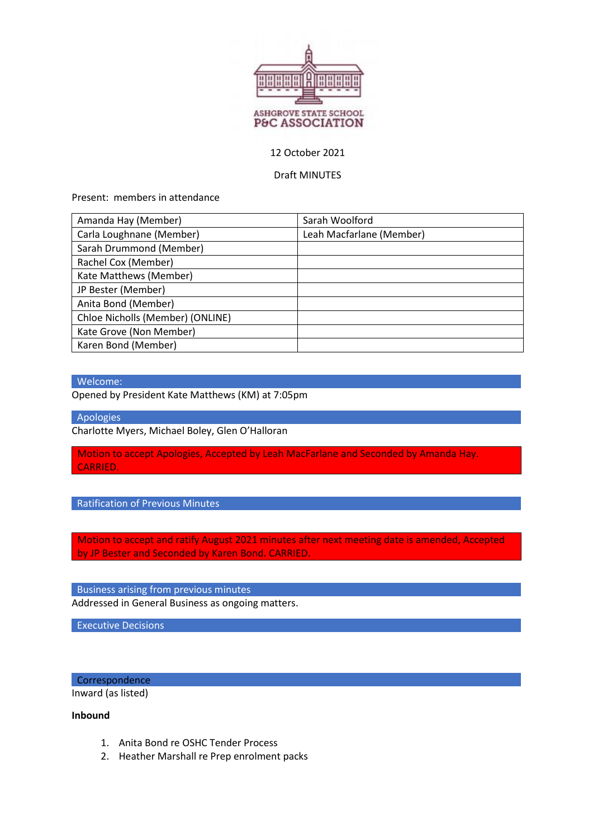

### 12 October 2021

#### Draft MINUTES

Present: members in attendance

| Amanda Hay (Member)              | Sarah Woolford           |
|----------------------------------|--------------------------|
| Carla Loughnane (Member)         | Leah Macfarlane (Member) |
| Sarah Drummond (Member)          |                          |
| Rachel Cox (Member)              |                          |
| Kate Matthews (Member)           |                          |
| JP Bester (Member)               |                          |
| Anita Bond (Member)              |                          |
| Chloe Nicholls (Member) (ONLINE) |                          |
| Kate Grove (Non Member)          |                          |
| Karen Bond (Member)              |                          |

### Welcome:

Opened by President Kate Matthews (KM) at 7:05pm

Apologies

Charlotte Myers, Michael Boley, Glen O'Halloran

Motion to accept Apologies, Accepted by Leah MacFarlane and Seconded by Amanda Hay. CARRIED.

Ratification of Previous Minutes

Motion to accept and ratify August 2021 minutes after next meeting date is amended, Accepted by JP Bester and Seconded by Karen Bond. CARRIED.

Business arising from previous minutes Addressed in General Business as ongoing matters.

Executive Decisions

**Correspondence** 

Inward (as listed)

**Inbound** 

- 1. Anita Bond re OSHC Tender Process
- 2. Heather Marshall re Prep enrolment packs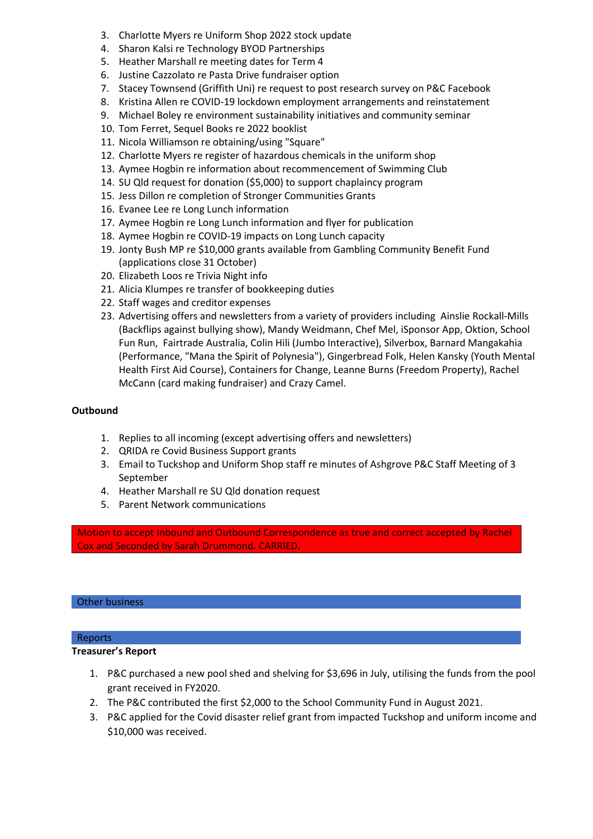- 3. Charlotte Myers re Uniform Shop 2022 stock update
- 4. Sharon Kalsi re Technology BYOD Partnerships
- 5. Heather Marshall re meeting dates for Term 4
- 6. Justine Cazzolato re Pasta Drive fundraiser option
- 7. Stacey Townsend (Griffith Uni) re request to post research survey on P&C Facebook
- 8. Kristina Allen re COVID-19 lockdown employment arrangements and reinstatement
- 9. Michael Boley re environment sustainability initiatives and community seminar
- 10. Tom Ferret, Sequel Books re 2022 booklist
- 11. Nicola Williamson re obtaining/using "Square"
- 12. Charlotte Myers re register of hazardous chemicals in the uniform shop
- 13. Aymee Hogbin re information about recommencement of Swimming Club
- 14. SU Qld request for donation (\$5,000) to support chaplaincy program
- 15. Jess Dillon re completion of Stronger Communities Grants
- 16. Evanee Lee re Long Lunch information
- 17. Aymee Hogbin re Long Lunch information and flyer for publication
- 18. Aymee Hogbin re COVID-19 impacts on Long Lunch capacity
- 19. Jonty Bush MP re \$10,000 grants available from Gambling Community Benefit Fund (applications close 31 October)
- 20. Elizabeth Loos re Trivia Night info
- 21. Alicia Klumpes re transfer of bookkeeping duties
- 22. Staff wages and creditor expenses
- 23. Advertising offers and newsletters from a variety of providers including Ainslie Rockall-Mills (Backflips against bullying show), Mandy Weidmann, Chef Mel, iSponsor App, Oktion, School Fun Run, Fairtrade Australia, Colin Hili (Jumbo Interactive), Silverbox, Barnard Mangakahia (Performance, "Mana the Spirit of Polynesia"), Gingerbread Folk, Helen Kansky (Youth Mental Health First Aid Course), Containers for Change, Leanne Burns (Freedom Property), Rachel McCann (card making fundraiser) and Crazy Camel.

# **Outbound**

- 1. Replies to all incoming (except advertising offers and newsletters)
- 2. QRIDA re Covid Business Support grants
- 3. Email to Tuckshop and Uniform Shop staff re minutes of Ashgrove P&C Staff Meeting of 3 September
- 4. Heather Marshall re SU Qld donation request
- 5. Parent Network communications

Motion to accept Inbound and Outbound Correspondence as true and correct accepted by Rachel Cox and Seconded by Sarah Drummond. CARRIED.

#### Other business

# Reports

# **Treasurer's Report**

- 1. P&C purchased a new pool shed and shelving for \$3,696 in July, utilising the funds from the pool grant received in FY2020.
- 2. The P&C contributed the first \$2,000 to the School Community Fund in August 2021.
- 3. P&C applied for the Covid disaster relief grant from impacted Tuckshop and uniform income and \$10,000 was received.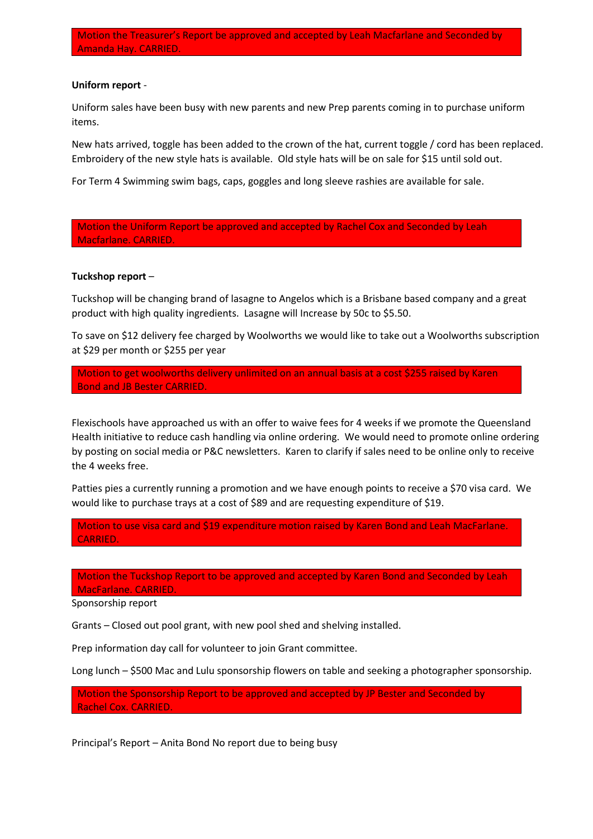#### **Uniform report** ‐

Uniform sales have been busy with new parents and new Prep parents coming in to purchase uniform items.

New hats arrived, toggle has been added to the crown of the hat, current toggle / cord has been replaced. Embroidery of the new style hats is available. Old style hats will be on sale for \$15 until sold out.

For Term 4 Swimming swim bags, caps, goggles and long sleeve rashies are available for sale.

Motion the Uniform Report be approved and accepted by Rachel Cox and Seconded by Leah Macfarlane. CARRIED.

#### **Tuckshop report** –

Tuckshop will be changing brand of lasagne to Angelos which is a Brisbane based company and a great product with high quality ingredients. Lasagne will Increase by 50c to \$5.50.

To save on \$12 delivery fee charged by Woolworths we would like to take out a Woolworths subscription at \$29 per month or \$255 per year

Motion to get woolworths delivery unlimited on an annual basis at a cost \$255 raised by Karen Bond and JB Bester CARRIED.

Flexischools have approached us with an offer to waive fees for 4 weeks if we promote the Queensland Health initiative to reduce cash handling via online ordering. We would need to promote online ordering by posting on social media or P&C newsletters. Karen to clarify if sales need to be online only to receive the 4 weeks free.

Patties pies a currently running a promotion and we have enough points to receive a \$70 visa card. We would like to purchase trays at a cost of \$89 and are requesting expenditure of \$19.

Motion to use visa card and \$19 expenditure motion raised by Karen Bond and Leah MacFarlane. CARRIED.

Motion the Tuckshop Report to be approved and accepted by Karen Bond and Seconded by Leah MacFarlane. CARRIED.

Sponsorship report

Grants – Closed out pool grant, with new pool shed and shelving installed.

Prep information day call for volunteer to join Grant committee.

Long lunch – \$500 Mac and Lulu sponsorship flowers on table and seeking a photographer sponsorship.

Motion the Sponsorship Report to be approved and accepted by JP Bester and Seconded by Rachel Cox. CARRIED.

Principal's Report – Anita Bond No report due to being busy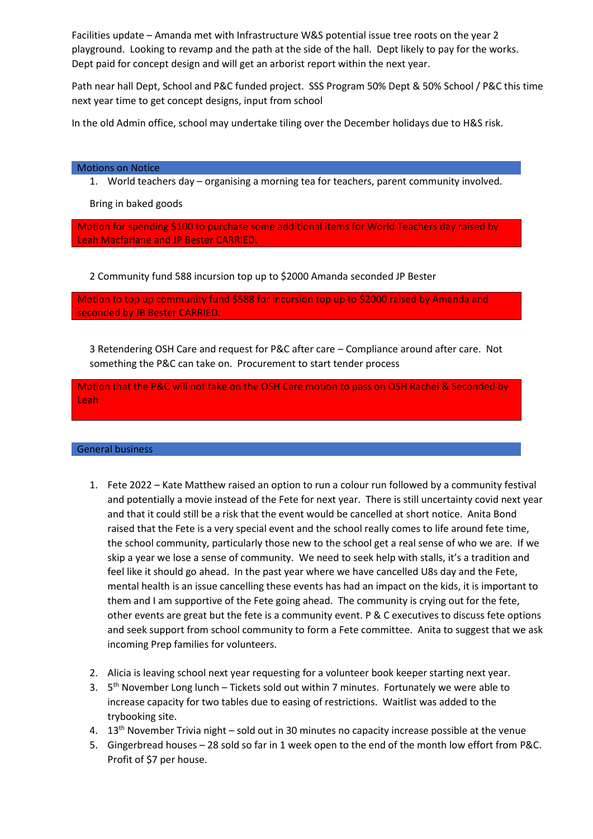Facilities update – Amanda met with Infrastructure W&S potential issue tree roots on the year 2 playground. Looking to revamp and the path at the side of the hall. Dept likely to pay for the works. Dept paid for concept design and will get an arborist report within the next year.

Path near hall Dept, School and P&C funded project. SSS Program 50% Dept & 50% School / P&C this time next year time to get concept designs, input from school

In the old Admin office, school may undertake tiling over the December holidays due to H&S risk.

#### Motions on Notice

1. World teachers day – organising a morning tea for teachers, parent community involved.

Bring in baked goods

Motion for spending \$100 to purchase some additional items for World Teachers day raised by Leah Macfarlane and JP Bester CARRIED.

2 Community fund 588 incursion top up to \$2000 Amanda seconded JP Bester

Motion to top up community fund \$588 for incursion top up to \$2000 raised by Amanda and seconded by JB Bester CARRIED.

3 Retendering OSH Care and request for P&C after care – Compliance around after care. Not something the P&C can take on. Procurement to start tender process

Motion that the P&C will not take on the OSH Care motion to pass on OSH Rachel & Seconded by Leah

#### General business

- 1. Fete 2022 Kate Matthew raised an option to run a colour run followed by a community festival and potentially a movie instead of the Fete for next year. There is still uncertainty covid next year and that it could still be a risk that the event would be cancelled at short notice. Anita Bond raised that the Fete is a very special event and the school really comes to life around fete time, the school community, particularly those new to the school get a real sense of who we are. If we skip a year we lose a sense of community. We need to seek help with stalls, it's a tradition and feel like it should go ahead. In the past year where we have cancelled U8s day and the Fete, mental health is an issue cancelling these events has had an impact on the kids, it is important to them and I am supportive of the Fete going ahead. The community is crying out for the fete, other events are great but the fete is a community event. P & C executives to discuss fete options and seek support from school community to form a Fete committee. Anita to suggest that we ask incoming Prep families for volunteers.
- 2. Alicia is leaving school next year requesting for a volunteer book keeper starting next year.
- 3.  $5<sup>th</sup>$  November Long lunch Tickets sold out within 7 minutes. Fortunately we were able to increase capacity for two tables due to easing of restrictions. Waitlist was added to the trybooking site.
- 4.  $13<sup>th</sup>$  November Trivia night sold out in 30 minutes no capacity increase possible at the venue
- 5. Gingerbread houses 28 sold so far in 1 week open to the end of the month low effort from P&C. Profit of \$7 per house.